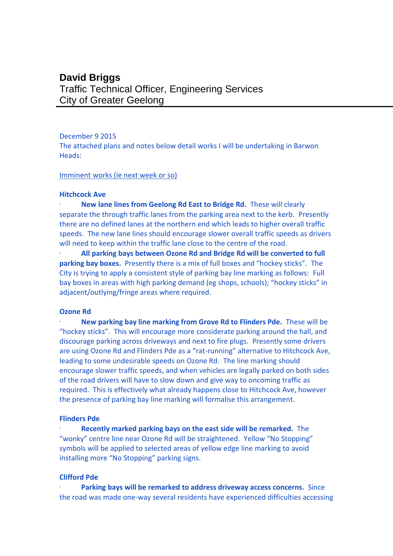# **David Briggs** Traffic Technical Officer, Engineering Services City of Greater Geelong

# December 9 2015

The attached plans and notes below detail works I will be undertaking in Barwon Heads:

#### Imminent works (ie next week or so)

#### **Hitchcock Ave**

· **New lane lines from Geelong Rd East to Bridge Rd.** These will clearly separate the through traffic lanes from the parking area next to the kerb. Presently there are no defined lanes at the northern end which leads to higher overall traffic speeds. The new lane lines should encourage slower overall traffic speeds as drivers will need to keep within the traffic lane close to the centre of the road.

· **All parking bays between Ozone Rd and Bridge Rd will be converted to full parking bay boxes.** Presently there is a mix of full boxes and "hockey sticks". The City is trying to apply a consistent style of parking bay line marking as follows: Full bay boxes in areas with high parking demand (eg shops, schools); "hockey sticks" in adjacent/outlying/fringe areas where required.

# **Ozone Rd**

· **New parking bay line marking from Grove Rd to Flinders Pde.** These will be "hockey sticks". This will encourage more considerate parking around the hall, and discourage parking across driveways and next to fire plugs. Presently some drivers are using Ozone Rd and Flinders Pde as a "rat-running" alternative to Hitchcock Ave, leading to some undesirable speeds on Ozone Rd. The line marking should encourage slower traffic speeds, and when vehicles are legally parked on both sides of the road drivers will have to slow down and give way to oncoming traffic as required. This is effectively what already happens close to Hitchcock Ave, however the presence of parking bay line marking will formalise this arrangement.

#### **Flinders Pde**

· **Recently marked parking bays on the east side will be remarked.** The "wonky" centre line near Ozone Rd will be straightened. Yellow "No Stopping" symbols will be applied to selected areas of yellow edge line marking to avoid installing more "No Stopping" parking signs.

# **Clifford Pde**

Parking bays will be remarked to address driveway access concerns. Since the road was made one-way several residents have experienced difficulties accessing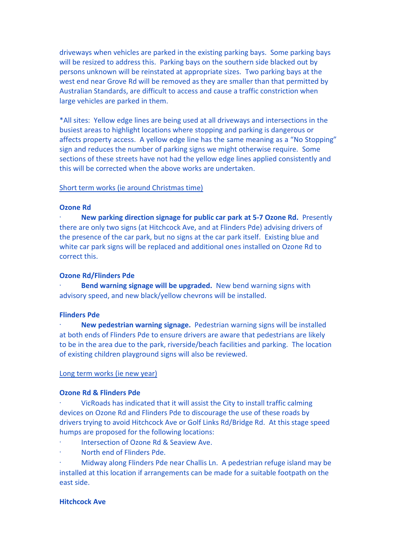driveways when vehicles are parked in the existing parking bays. Some parking bays will be resized to address this. Parking bays on the southern side blacked out by persons unknown will be reinstated at appropriate sizes. Two parking bays at the west end near Grove Rd will be removed as they are smaller than that permitted by Australian Standards, are difficult to access and cause a traffic constriction when large vehicles are parked in them.

\*All sites: Yellow edge lines are being used at all driveways and intersections in the busiest areas to highlight locations where stopping and parking is dangerous or affects property access. A yellow edge line has the same meaning as a "No Stopping" sign and reduces the number of parking signs we might otherwise require. Some sections of these streets have not had the yellow edge lines applied consistently and this will be corrected when the above works are undertaken.

#### Short term works (ie around Christmas time)

# **Ozone Rd**

· **New parking direction signage for public car park at 5-7 Ozone Rd.** Presently there are only two signs (at Hitchcock Ave, and at Flinders Pde) advising drivers of the presence of the car park, but no signs at the car park itself. Existing blue and white car park signs will be replaced and additional ones installed on Ozone Rd to correct this.

#### **Ozone Rd/Flinders Pde**

**Bend warning signage will be upgraded.** New bend warning signs with advisory speed, and new black/yellow chevrons will be installed.

# **Flinders Pde**

· **New pedestrian warning signage.** Pedestrian warning signs will be installed at both ends of Flinders Pde to ensure drivers are aware that pedestrians are likely to be in the area due to the park, riverside/beach facilities and parking. The location of existing children playground signs will also be reviewed.

# Long term works (ie new year)

# **Ozone Rd & Flinders Pde**

VicRoads has indicated that it will assist the City to install traffic calming devices on Ozone Rd and Flinders Pde to discourage the use of these roads by drivers trying to avoid Hitchcock Ave or Golf Links Rd/Bridge Rd. At this stage speed humps are proposed for the following locations:

- · Intersection of Ozone Rd & Seaview Ave.
- North end of Flinders Pde.

· Midway along Flinders Pde near Challis Ln. A pedestrian refuge island may be installed at this location if arrangements can be made for a suitable footpath on the east side.

## **Hitchcock Ave**